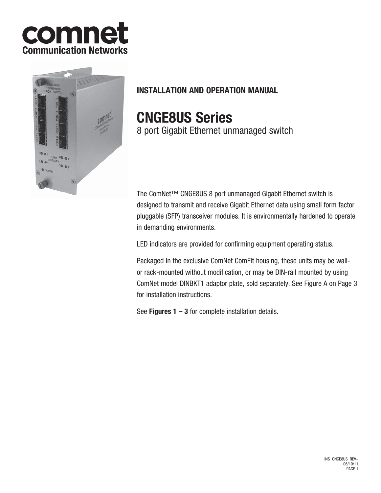



## **INSTALLATION AND OPERATION MANUAL**

# **CNGE8US Series**

8 port Gigabit Ethernet unmanaged switch

The ComNet™ CNGE8US 8 port unmanaged Gigabit Ethernet switch is designed to transmit and receive Gigabit Ethernet data using small form factor pluggable (SFP) transceiver modules. It is environmentally hardened to operate in demanding environments.

LED indicators are provided for confirming equipment operating status.

Packaged in the exclusive ComNet ComFit housing, these units may be wallor rack-mounted without modification, or may be DIN-rail mounted by using ComNet model DINBKT1 adaptor plate, sold separately. See Figure A on Page 3 for installation instructions.

See **Figures 1 – 3** for complete installation details.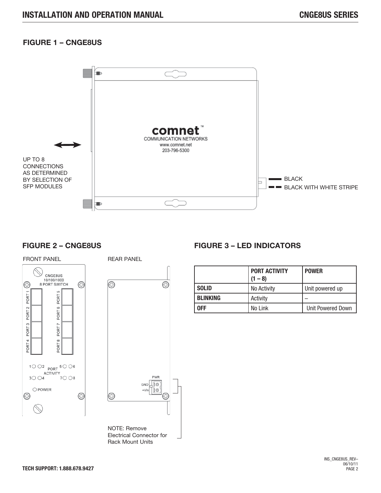## **FIGURE 1 – CNGE8US**



## **FIGURE 2 – CNGE8US**

FRONT PANEL REAR PANEL







## **FIGURE 3 – LED INDICATORS**

|                 | <b>PORT ACTIVITY</b><br>$(1 - 8)$ | <b>POWER</b>      |
|-----------------|-----------------------------------|-------------------|
| <b>SOLID</b>    | No Activity                       | Unit powered up   |
| <b>BLINKING</b> | Activity                          |                   |
| 0FF             | No Link                           | Unit Powered Down |